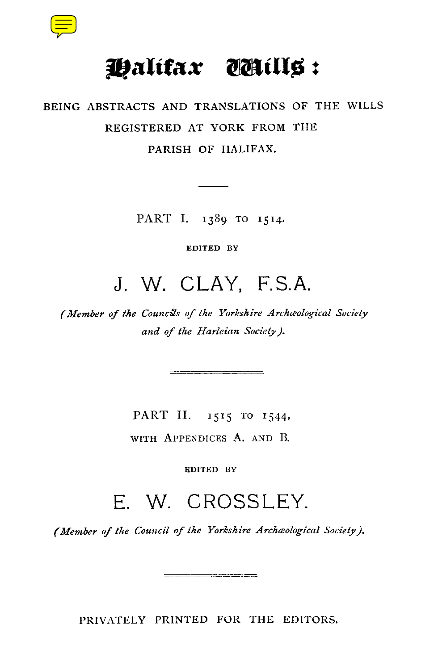

# **Halifax Wills**

### BEING ABSTRACTS AND TRANSLATIONS OF THE WILLS REGISTERED AT YORK FROM THE

PARISH OF HALIFAX.

PART I. 1389 TO 1514.

EDITED BY

## J. W. CLAY, F.S.A.

*(Member of the Councils of the Yorkshire Archaeological Society and of the Harleian Society).*

 $\begin{tabular}{lcccccc} \multicolumn{2}{c}{\multicolumn{2}{c}{\multicolumn{2}{c}{\multicolumn{2}{c}{\multicolumn{2}{c}{\multicolumn{2}{c}{\multicolumn{2}{c}{\multicolumn{2}{c}{\multicolumn{2}{c}{\multicolumn{2}{c}{\multicolumn{2}{c}{\multicolumn{2}{c}{\textbf{1}}}}}}}} \multicolumn{2}{c}{\multicolumn{2}{c}{\textbf{2}}\end{tabular} \begin{tabular}{lcccccc} \multicolumn{2}{c}{\multicolumn{2}{c}{\textbf{2}}\end{tabular} \begin{tabular}{lcccccc} \multicolumn{2}{c}{\textbf{$ 

PART II. 1515 TO 1544, WITH APPENDICES A. AND B.

EDITED BY

## E. W. CROSSLEY.

*(Member of the Council of the Yorkshire Archceological Society).*

<u> 1980 - John Stein, Amerikaansk politiker (</u>

PRIVATELY PRINTED FOR THE EDITORS.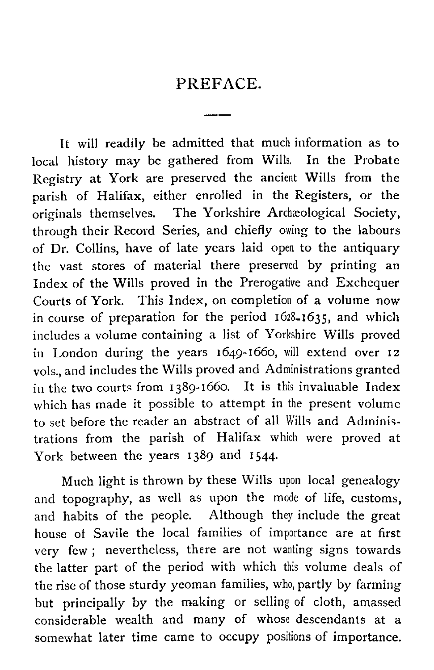### PREFACE.

It will readily be admitted that much information as to local history may be gathered from Wills. In the Probate Registry at York are preserved the ancient Wills from the parish of Halifax, either enrolled in the Registers, or the originals themselves. The Yorkshire Archaeological Society, through their Record Series, and chiefly owing to the labours of Dr. Collins, have of late years laid open to the antiquary the vast stores of material there preserved by printing an Index of the Wills proved in the Prerogative and Exchequer Courts of York. This Index, on completion of a volume now in course of preparation for the period 1628-1635, and which includes a volume containing a list of Yorkshire Wills proved in London during the years 1649-1660, will extend over **<sup>12</sup>** vols., and includes the Wills proved and Administrations granted in the two courts from 1389-166o. It is this invaluable Index which has made it possible to attempt in the present volume to set before the reader an abstract of all Wills and trations from the parish of Halifax which were proved at York between the years 1389 and 1544.

Much light is thrown by these Wills upon local genealogy and topography, as well as upon the mode of life, customs, and habits of the people. Although they include the great house of Savile the local families of importance are at first very few ; nevertheless, there are not wanting signs towards the latter part of the period with which this volume deals of the rise of those sturdy yeoman families, who, partly by farming but principally by the making or selling of cloth, amassed considerable wealth and many of whose descendants at a somewhat later time came to occupy positions of importance.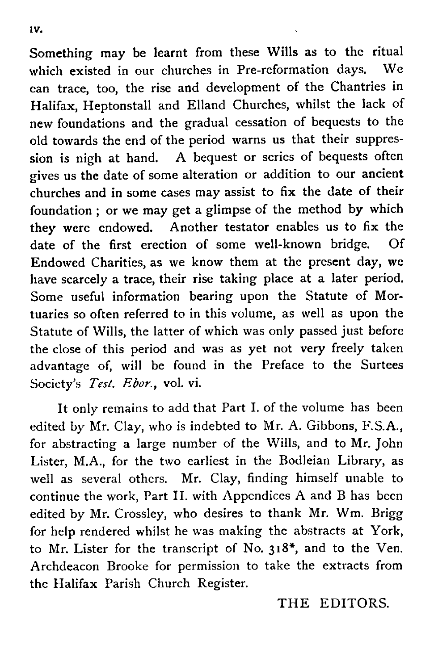Something may be learnt from these Wills as to the ritual which existed in our churches in Pre-reformation days. We can trace, too, the rise and development of the Chantries in Halifax, Heptonstall and Elland Churches, whilst the lack of new foundations and the gradual cessation of bequests to the old towards the end of the period warns us that their suppression is nigh at hand. A bequest or series of bequests often gives us the date of some alteration or addition to our ancient churches and in some cases may assist to fix the date of their foundation ; or we may get a glimpse of the method by which they were endowed. Another testator enables us to fix the date of the first erection of some well-known bridge. Of Endowed Charities, as we know them at the present day, we have scarcely a trace, their rise taking place at a later period. Some useful information bearing upon the Statute of Mortuaries so often referred to in this volume, as well as upon the Statute of Wills, the latter of which was only passed just before the close of this period and was as yet not very freely taken advantage of, will be found in the Preface to the Surtees Society's *Test. Ebor.,* vol. vi.

It only remains to add that Part I. of the volume has been edited by Mr. Clay, who is indebted to Mr. A. Gibbons, F.S.A., for abstracting a large number of the Wills, and to Mr. John Lister, M.A., for the two earliest in the Bodleian Library, as well as several others. Mr. Clay, finding himself unable to continue the work, Part II. with Appendices A and B has been edited by Mr. Crossley, who desires to thank Mr. Wm. Brigg for help rendered whilst he was making the abstracts at York, to Mr. Lister for the transcript of No. 318\*, and to the Ven. Archdeacon Brooke for permission to take the extracts from the Halifax Parish Church Register.

#### THE EDITORS.